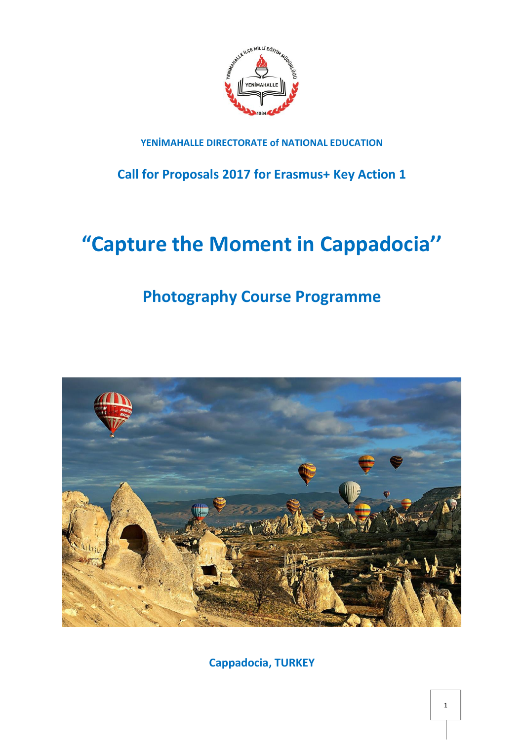

### **YENİMAHALLE DIRECTORATE of NATIONAL EDUCATION**

**Call for Proposals 2017 for Erasmus+ Key Action 1**

# **"Capture the Moment in Cappadocia''**

## **Photography Course Programme**



**Cappadocia, TURKEY**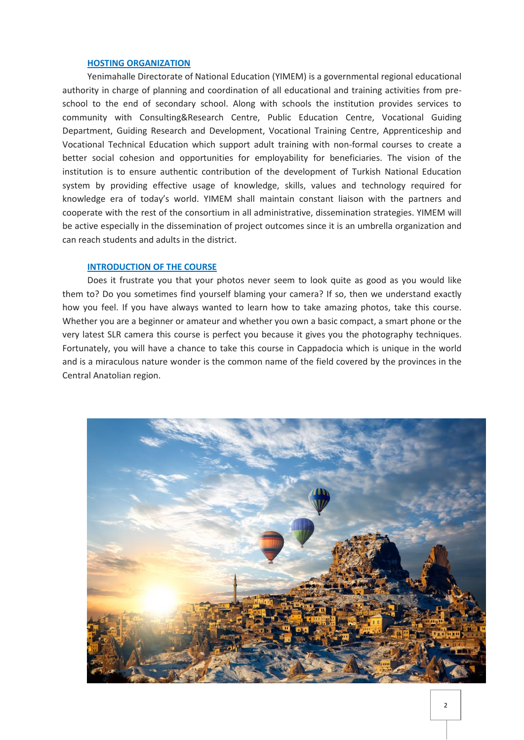#### **HOSTING ORGANIZATION**

Yenimahalle Directorate of National Education (YIMEM) is a governmental regional educational authority in charge of planning and coordination of all educational and training activities from preschool to the end of secondary school. Along with schools the institution provides services to community with Consulting&Research Centre, Public Education Centre, Vocational Guiding Department, Guiding Research and Development, Vocational Training Centre, Apprenticeship and Vocational Technical Education which support adult training with non-formal courses to create a better social cohesion and opportunities for employability for beneficiaries. The vision of the institution is to ensure authentic contribution of the development of Turkish National Education system by providing effective usage of knowledge, skills, values and technology required for knowledge era of today's world. YIMEM shall maintain constant liaison with the partners and cooperate with the rest of the consortium in all administrative, dissemination strategies. YIMEM will be active especially in the dissemination of project outcomes since it is an umbrella organization and can reach students and adults in the district.

#### **INTRODUCTION OF THE COURSE**

Does it frustrate you that your photos never seem to look quite as good as you would like them to? Do you sometimes find yourself blaming your camera? If so, then we understand exactly how you feel. If you have always wanted to learn how to take amazing photos, take this course. Whether you are a beginner or amateur and whether you own a basic compact, a smart phone or the very latest SLR camera this course is perfect you because it gives you the photography techniques. Fortunately, you will have a chance to take this course in Cappadocia which is unique in the world and is a miraculous nature wonder is the common name of the field covered by the provinces in the [Central Anatolian](http://www.cappadociaturkey.net/central_anatolia.htm) region.

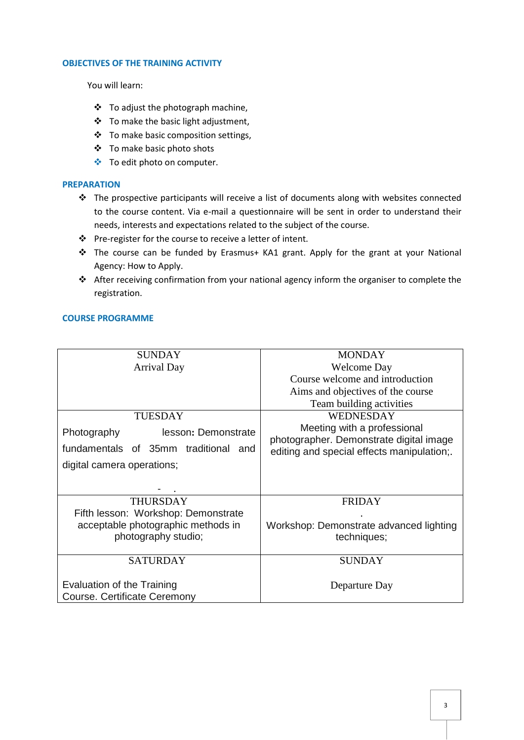#### **OBJECTIVES OF THE TRAINING ACTIVITY**

You will learn:

- To adjust the photograph machine,
- To make the basic light adjustment,
- To make basic composition settings,
- To make basic photo shots
- To edit photo on computer.

#### **PREPARATION**

- $\triangleq$  The prospective participants will receive a list of documents along with websites connected to the course content. Via e-mail a questionnaire will be sent in order to understand their needs, interests and expectations related to the subject of the course.
- Pre-register for the course to receive a letter of intent.
- \* The course can be funded by Erasmus+ KA1 grant. Apply for the grant at your National Agency: How to Apply.
- After receiving confirmation from your national agency inform the organiser to complete the registration.

#### **COURSE PROGRAMME**

| <b>SUNDAY</b>                        | <b>MONDAY</b>                              |
|--------------------------------------|--------------------------------------------|
| <b>Arrival Day</b>                   | <b>Welcome Day</b>                         |
|                                      | Course welcome and introduction            |
|                                      | Aims and objectives of the course          |
|                                      | Team building activities                   |
| <b>TUESDAY</b>                       | <b>WEDNESDAY</b>                           |
| lesson: Demonstrate<br>Photography   | Meeting with a professional                |
|                                      | photographer. Demonstrate digital image    |
| fundamentals of 35mm traditional and | editing and special effects manipulation;. |
| digital camera operations;           |                                            |
|                                      |                                            |
|                                      |                                            |
| <b>THURSDAY</b>                      | <b>FRIDAY</b>                              |
| Fifth lesson: Workshop: Demonstrate  |                                            |
| acceptable photographic methods in   | Workshop: Demonstrate advanced lighting    |
| photography studio;                  | techniques;                                |
|                                      |                                            |
| <b>SATURDAY</b>                      | <b>SUNDAY</b>                              |
|                                      |                                            |
| Evaluation of the Training           | Departure Day                              |
| Course. Certificate Ceremony         |                                            |